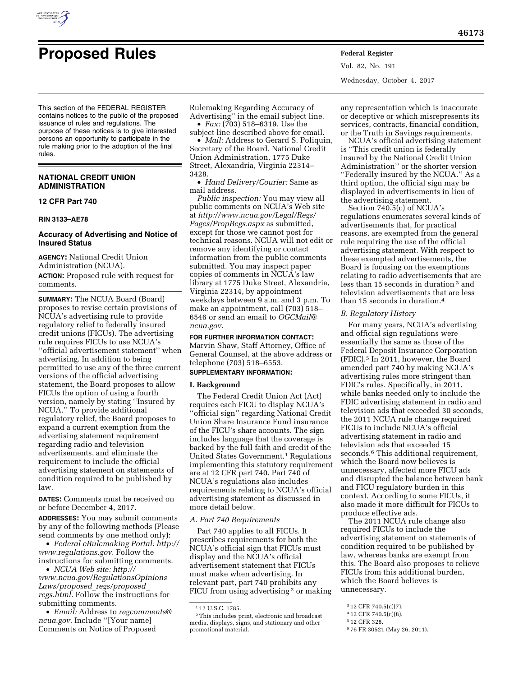

# **Proposed Rules Federal Register**

Vol. 82, No. 191 Wednesday, October 4, 2017

This section of the FEDERAL REGISTER contains notices to the public of the proposed issuance of rules and regulations. The purpose of these notices is to give interested persons an opportunity to participate in the rule making prior to the adoption of the final rules.

# **NATIONAL CREDIT UNION ADMINISTRATION**

# **12 CFR Part 740**

#### **RIN 3133–AE78**

# **Accuracy of Advertising and Notice of Insured Status**

**AGENCY:** National Credit Union Administration (NCUA). **ACTION:** Proposed rule with request for comments.

**SUMMARY:** The NCUA Board (Board) proposes to revise certain provisions of NCUA's advertising rule to provide regulatory relief to federally insured credit unions (FICUs). The advertising rule requires FICUs to use NCUA's ''official advertisement statement'' when advertising. In addition to being permitted to use any of the three current versions of the official advertising statement, the Board proposes to allow FICUs the option of using a fourth version, namely by stating ''Insured by NCUA.'' To provide additional regulatory relief, the Board proposes to expand a current exemption from the advertising statement requirement regarding radio and television advertisements, and eliminate the requirement to include the official advertising statement on statements of condition required to be published by law.

**DATES:** Comments must be received on or before December 4, 2017.

**ADDRESSES:** You may submit comments by any of the following methods (Please send comments by one method only):

• *Federal eRulemaking Portal: http:// www.regulations.gov.* Follow the instructions for submitting comments.

• *NCUA Web site: http:// www.ncua.gov/RegulationsOpinions Laws/proposed*\_*regs/proposed*\_ *regs.html.* Follow the instructions for submitting comments.

• *Email:* Address to *regcomments@ ncua.gov.* Include ''[Your name] Comments on Notice of Proposed

Rulemaking Regarding Accuracy of Advertising'' in the email subject line.

• *Fax:* (703) 518–6319. Use the subject line described above for email.

• *Mail:* Address to Gerard S. Poliquin, Secretary of the Board, National Credit Union Administration, 1775 Duke Street, Alexandria, Virginia 22314– 3428.

• *Hand Delivery/Courier:* Same as mail address.

*Public inspection:* You may view all public comments on NCUA's Web site at *http://www.ncua.gov/Legal/Regs/ Pages/PropRegs.aspx* as submitted, except for those we cannot post for technical reasons. NCUA will not edit or remove any identifying or contact information from the public comments submitted. You may inspect paper copies of comments in NCUA's law library at 1775 Duke Street, Alexandria, Virginia 22314, by appointment weekdays between 9 a.m. and 3 p.m. To make an appointment, call (703) 518– 6546 or send an email to *OGCMail@ ncua.gov.* 

**FOR FURTHER INFORMATION CONTACT:**  Marvin Shaw, Staff Attorney, Office of General Counsel, at the above address or telephone (703) 518–6553.

# **SUPPLEMENTARY INFORMATION:**

#### **I. Background**

The Federal Credit Union Act (Act) requires each FICU to display NCUA's ''official sign'' regarding National Credit Union Share Insurance Fund insurance of the FICU's share accounts. The sign includes language that the coverage is backed by the full faith and credit of the United States Government.<sup>1</sup> Regulations implementing this statutory requirement are at 12 CFR part 740. Part 740 of NCUA's regulations also includes requirements relating to NCUA's official advertising statement as discussed in more detail below.

#### *A. Part 740 Requirements*

Part 740 applies to all FICUs. It prescribes requirements for both the NCUA's official sign that FICUs must display and the NCUA's official advertisement statement that FICUs must make when advertising. In relevant part, part 740 prohibits any FICU from using advertising <sup>2</sup> or making any representation which is inaccurate or deceptive or which misrepresents its services, contracts, financial condition, or the Truth in Savings requirements.

NCUA's official advertising statement is ''This credit union is federally insured by the National Credit Union Administration'' or the shorter version ''Federally insured by the NCUA.'' As a third option, the official sign may be displayed in advertisements in lieu of the advertising statement.

Section 740.5(c) of NCUA's regulations enumerates several kinds of advertisements that, for practical reasons, are exempted from the general rule requiring the use of the official advertising statement. With respect to these exempted advertisements, the Board is focusing on the exemptions relating to radio advertisements that are less than 15 seconds in duration 3 and television advertisements that are less than 15 seconds in duration.4

### *B. Regulatory History*

For many years, NCUA's advertising and official sign regulations were essentially the same as those of the Federal Deposit Insurance Corporation (FDIC).5 In 2011, however, the Board amended part 740 by making NCUA's advertising rules more stringent than FDIC's rules. Specifically, in 2011, while banks needed only to include the FDIC advertising statement in radio and television ads that exceeded 30 seconds, the 2011 NCUA rule change required FICUs to include NCUA's official advertising statement in radio and television ads that exceeded 15 seconds.<sup>6</sup> This additional requirement, which the Board now believes is unnecessary, affected more FICU ads and disrupted the balance between bank and FICU regulatory burden in this context. According to some FICUs, it also made it more difficult for FICUs to produce effective ads.

The 2011 NCUA rule change also required FICUs to include the advertising statement on statements of condition required to be published by law, whereas banks are exempt from this. The Board also proposes to relieve FICUs from this additional burden, which the Board believes is unnecessary.

<sup>1 12</sup> U.S.C. 1785.

<sup>2</sup> This includes print, electronic and broadcast media, displays, signs, and stationary and other promotional material.

<sup>3 12</sup> CFR 740.5(c)(7).

<sup>4 12</sup> CFR 740.5(c)(8).

<sup>5 12</sup> CFR 328.

<sup>6 76</sup> FR 30521 (May 26, 2011).